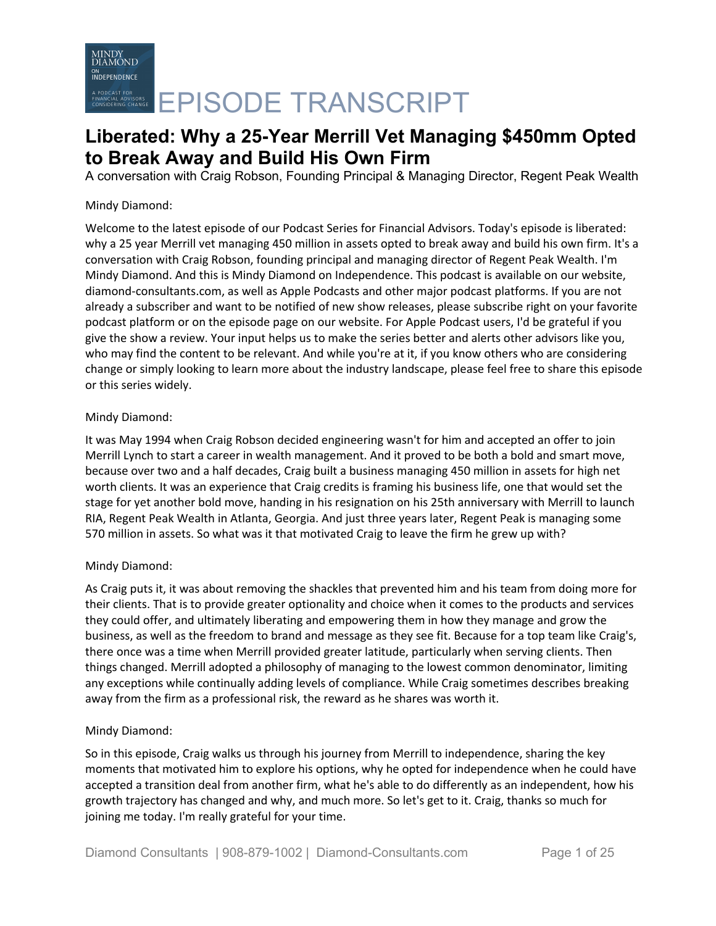A conversation with Craig Robson, Founding Principal & Managing Director, Regent Peak Wealth

# Mindy Diamond:

Welcome to the latest episode of our Podcast Series for Financial Advisors. Today's episode is liberated: why a 25 year Merrill vet managing 450 million in assets opted to break away and build his own firm. It's a conversation with Craig Robson, founding principal and managing director of Regent Peak Wealth. I'm Mindy Diamond. And this is Mindy Diamond on Independence. This podcast is available on our website, diamond-consultants.com, as well as Apple Podcasts and other major podcast platforms. If you are not already a subscriber and want to be notified of new show releases, please subscribe right on your favorite podcast platform or on the episode page on our website. For Apple Podcast users, I'd be grateful if you give the show a review. Your input helps us to make the series better and alerts other advisors like you, who may find the content to be relevant. And while you're at it, if you know others who are considering change or simply looking to learn more about the industry landscape, please feel free to share this episode or this series widely.

# Mindy Diamond:

It was May 1994 when Craig Robson decided engineering wasn't for him and accepted an offer to join Merrill Lynch to start a career in wealth management. And it proved to be both a bold and smart move, because over two and a half decades, Craig built a business managing 450 million in assets for high net worth clients. It was an experience that Craig credits is framing his business life, one that would set the stage for yet another bold move, handing in his resignation on his 25th anniversary with Merrill to launch RIA, Regent Peak Wealth in Atlanta, Georgia. And just three years later, Regent Peak is managing some 570 million in assets. So what was it that motivated Craig to leave the firm he grew up with?

# Mindy Diamond:

As Craig puts it, it was about removing the shackles that prevented him and his team from doing more for their clients. That is to provide greater optionality and choice when it comes to the products and services they could offer, and ultimately liberating and empowering them in how they manage and grow the business, as well as the freedom to brand and message as they see fit. Because for a top team like Craig's, there once was a time when Merrill provided greater latitude, particularly when serving clients. Then things changed. Merrill adopted a philosophy of managing to the lowest common denominator, limiting any exceptions while continually adding levels of compliance. While Craig sometimes describes breaking away from the firm as a professional risk, the reward as he shares was worth it.

# Mindy Diamond:

So in this episode, Craig walks us through his journey from Merrill to independence, sharing the key moments that motivated him to explore his options, why he opted for independence when he could have accepted a transition deal from another firm, what he's able to do differently as an independent, how his growth trajectory has changed and why, and much more. So let's get to it. Craig, thanks so much for joining me today. I'm really grateful for your time.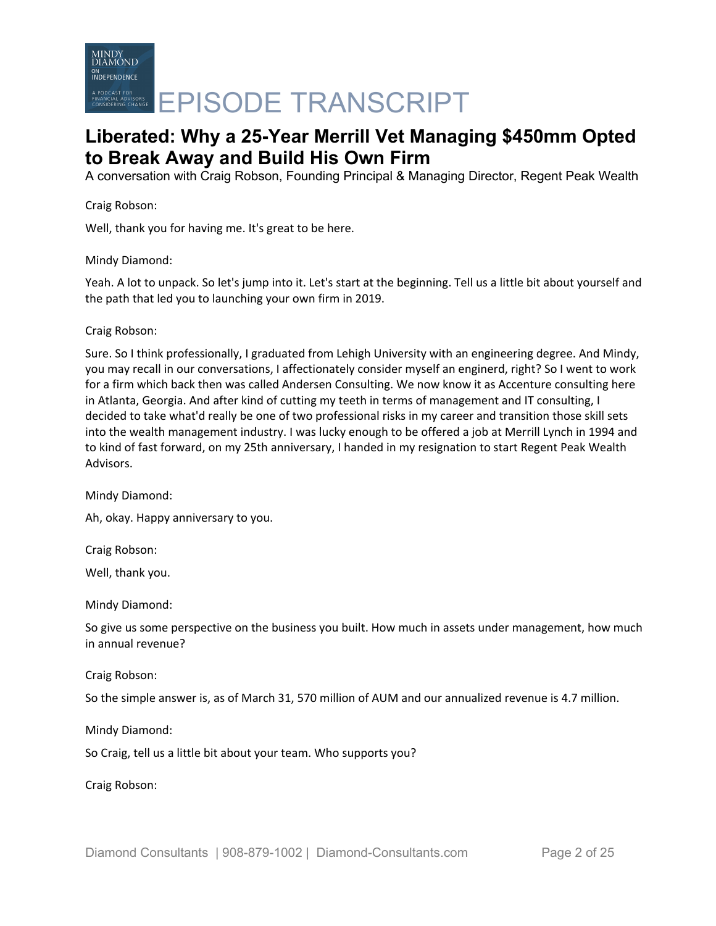

A conversation with Craig Robson, Founding Principal & Managing Director, Regent Peak Wealth

Craig Robson:

Well, thank you for having me. It's great to be here.

Mindy Diamond:

Yeah. A lot to unpack. So let's jump into it. Let's start at the beginning. Tell us a little bit about yourself and the path that led you to launching your own firm in 2019.

Craig Robson:

Sure. So I think professionally, I graduated from Lehigh University with an engineering degree. And Mindy, you may recall in our conversations, I affectionately consider myself an enginerd, right? So I went to work for a firm which back then was called Andersen Consulting. We now know it as Accenture consulting here in Atlanta, Georgia. And after kind of cutting my teeth in terms of management and IT consulting, I decided to take what'd really be one of two professional risks in my career and transition those skill sets into the wealth management industry. I was lucky enough to be offered a job at Merrill Lynch in 1994 and to kind of fast forward, on my 25th anniversary, I handed in my resignation to start Regent Peak Wealth Advisors.

Mindy Diamond:

Ah, okay. Happy anniversary to you.

Craig Robson:

Well, thank you.

Mindy Diamond:

So give us some perspective on the business you built. How much in assets under management, how much in annual revenue?

Craig Robson:

So the simple answer is, as of March 31, 570 million of AUM and our annualized revenue is 4.7 million.

Mindy Diamond:

So Craig, tell us a little bit about your team. Who supports you?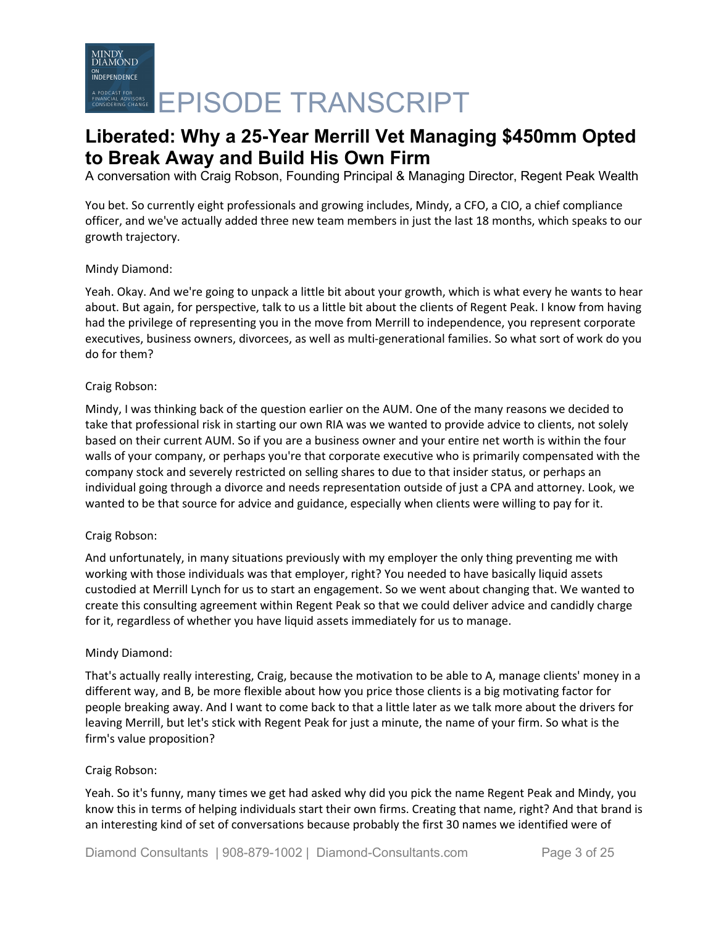A conversation with Craig Robson, Founding Principal & Managing Director, Regent Peak Wealth

You bet. So currently eight professionals and growing includes, Mindy, a CFO, a CIO, a chief compliance officer, and we've actually added three new team members in just the last 18 months, which speaks to our growth trajectory.

# Mindy Diamond:

Yeah. Okay. And we're going to unpack a little bit about your growth, which is what every he wants to hear about. But again, for perspective, talk to us a little bit about the clients of Regent Peak. I know from having had the privilege of representing you in the move from Merrill to independence, you represent corporate executives, business owners, divorcees, as well as multi-generational families. So what sort of work do you do for them?

### Craig Robson:

Mindy, I was thinking back of the question earlier on the AUM. One of the many reasons we decided to take that professional risk in starting our own RIA was we wanted to provide advice to clients, not solely based on their current AUM. So if you are a business owner and your entire net worth is within the four walls of your company, or perhaps you're that corporate executive who is primarily compensated with the company stock and severely restricted on selling shares to due to that insider status, or perhaps an individual going through a divorce and needs representation outside of just a CPA and attorney. Look, we wanted to be that source for advice and guidance, especially when clients were willing to pay for it.

# Craig Robson:

And unfortunately, in many situations previously with my employer the only thing preventing me with working with those individuals was that employer, right? You needed to have basically liquid assets custodied at Merrill Lynch for us to start an engagement. So we went about changing that. We wanted to create this consulting agreement within Regent Peak so that we could deliver advice and candidly charge for it, regardless of whether you have liquid assets immediately for us to manage.

# Mindy Diamond:

That's actually really interesting, Craig, because the motivation to be able to A, manage clients' money in a different way, and B, be more flexible about how you price those clients is a big motivating factor for people breaking away. And I want to come back to that a little later as we talk more about the drivers for leaving Merrill, but let's stick with Regent Peak for just a minute, the name of your firm. So what is the firm's value proposition?

#### Craig Robson:

Yeah. So it's funny, many times we get had asked why did you pick the name Regent Peak and Mindy, you know this in terms of helping individuals start their own firms. Creating that name, right? And that brand is an interesting kind of set of conversations because probably the first 30 names we identified were of

Diamond Consultants | 908-879-1002 | Diamond-Consultants.com Page 3 of 25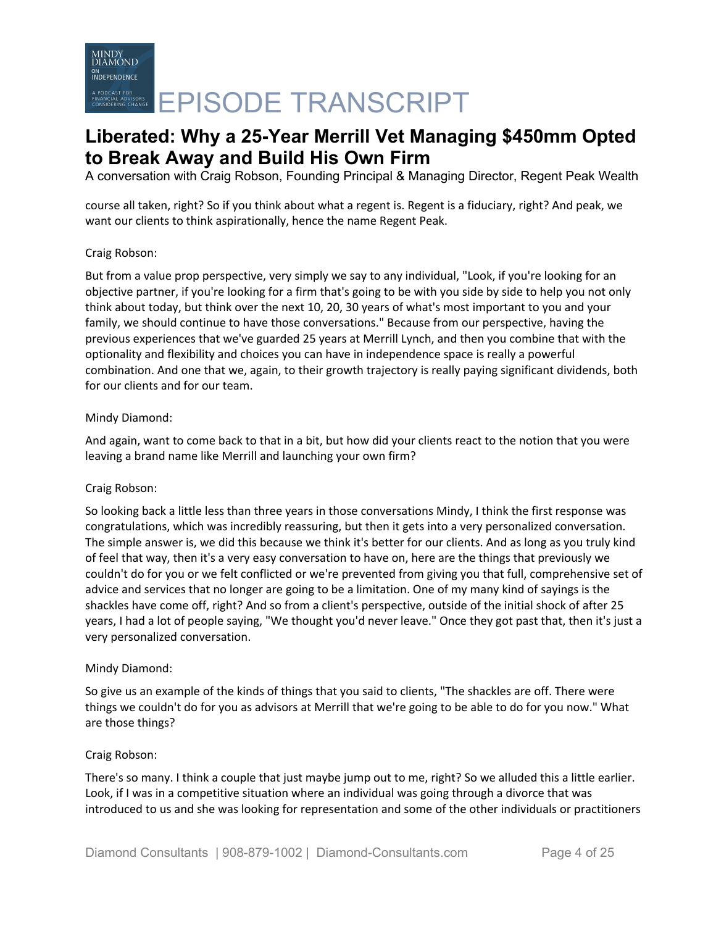A conversation with Craig Robson, Founding Principal & Managing Director, Regent Peak Wealth

course all taken, right? So if you think about what a regent is. Regent is a fiduciary, right? And peak, we want our clients to think aspirationally, hence the name Regent Peak.

# Craig Robson:

But from a value prop perspective, very simply we say to any individual, "Look, if you're looking for an objective partner, if you're looking for a firm that's going to be with you side by side to help you not only think about today, but think over the next 10, 20, 30 years of what's most important to you and your family, we should continue to have those conversations." Because from our perspective, having the previous experiences that we've guarded 25 years at Merrill Lynch, and then you combine that with the optionality and flexibility and choices you can have in independence space is really a powerful combination. And one that we, again, to their growth trajectory is really paying significant dividends, both for our clients and for our team.

# Mindy Diamond:

And again, want to come back to that in a bit, but how did your clients react to the notion that you were leaving a brand name like Merrill and launching your own firm?

# Craig Robson:

So looking back a little less than three years in those conversations Mindy, I think the first response was congratulations, which was incredibly reassuring, but then it gets into a very personalized conversation. The simple answer is, we did this because we think it's better for our clients. And as long as you truly kind of feel that way, then it's a very easy conversation to have on, here are the things that previously we couldn't do for you or we felt conflicted or we're prevented from giving you that full, comprehensive set of advice and services that no longer are going to be a limitation. One of my many kind of sayings is the shackles have come off, right? And so from a client's perspective, outside of the initial shock of after 25 years, I had a lot of people saying, "We thought you'd never leave." Once they got past that, then it's just a very personalized conversation.

# Mindy Diamond:

So give us an example of the kinds of things that you said to clients, "The shackles are off. There were things we couldn't do for you as advisors at Merrill that we're going to be able to do for you now." What are those things?

# Craig Robson:

There's so many. I think a couple that just maybe jump out to me, right? So we alluded this a little earlier. Look, if I was in a competitive situation where an individual was going through a divorce that was introduced to us and she was looking for representation and some of the other individuals or practitioners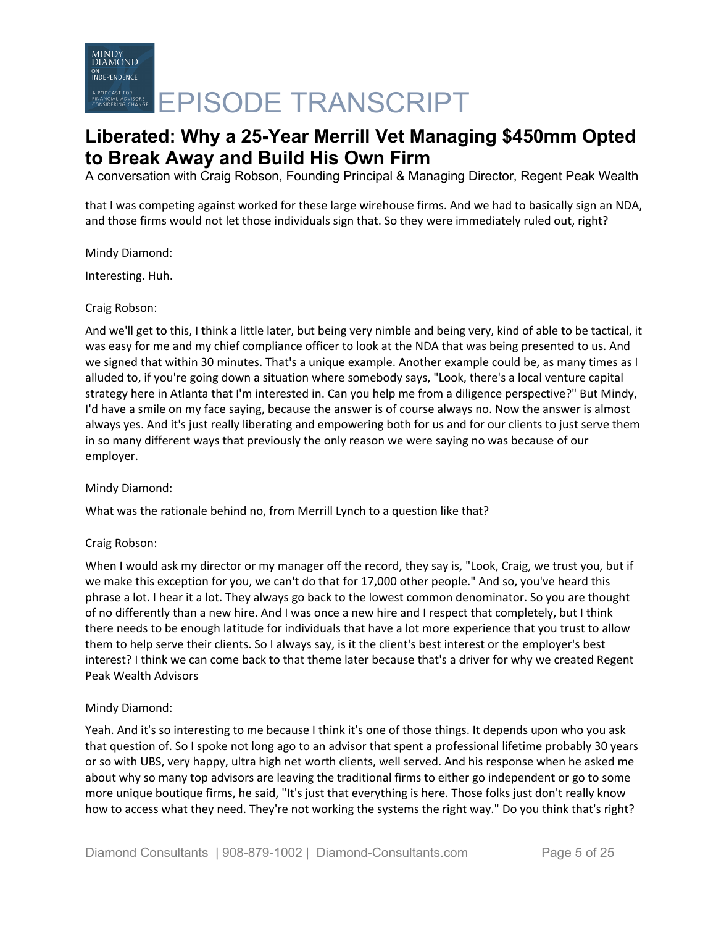A conversation with Craig Robson, Founding Principal & Managing Director, Regent Peak Wealth

that I was competing against worked for these large wirehouse firms. And we had to basically sign an NDA, and those firms would not let those individuals sign that. So they were immediately ruled out, right?

Mindy Diamond:

Interesting. Huh.

### Craig Robson:

And we'll get to this, I think a little later, but being very nimble and being very, kind of able to be tactical, it was easy for me and my chief compliance officer to look at the NDA that was being presented to us. And we signed that within 30 minutes. That's a unique example. Another example could be, as many times as I alluded to, if you're going down a situation where somebody says, "Look, there's a local venture capital strategy here in Atlanta that I'm interested in. Can you help me from a diligence perspective?" But Mindy, I'd have a smile on my face saying, because the answer is of course always no. Now the answer is almost always yes. And it's just really liberating and empowering both for us and for our clients to just serve them in so many different ways that previously the only reason we were saying no was because of our employer.

# Mindy Diamond:

What was the rationale behind no, from Merrill Lynch to a question like that?

# Craig Robson:

When I would ask my director or my manager off the record, they say is, "Look, Craig, we trust you, but if we make this exception for you, we can't do that for 17,000 other people." And so, you've heard this phrase a lot. I hear it a lot. They always go back to the lowest common denominator. So you are thought of no differently than a new hire. And I was once a new hire and I respect that completely, but I think there needs to be enough latitude for individuals that have a lot more experience that you trust to allow them to help serve their clients. So I always say, is it the client's best interest or the employer's best interest? I think we can come back to that theme later because that's a driver for why we created Regent Peak Wealth Advisors

# Mindy Diamond:

Yeah. And it's so interesting to me because I think it's one of those things. It depends upon who you ask that question of. So I spoke not long ago to an advisor that spent a professional lifetime probably 30 years or so with UBS, very happy, ultra high net worth clients, well served. And his response when he asked me about why so many top advisors are leaving the traditional firms to either go independent or go to some more unique boutique firms, he said, "It's just that everything is here. Those folks just don't really know how to access what they need. They're not working the systems the right way." Do you think that's right?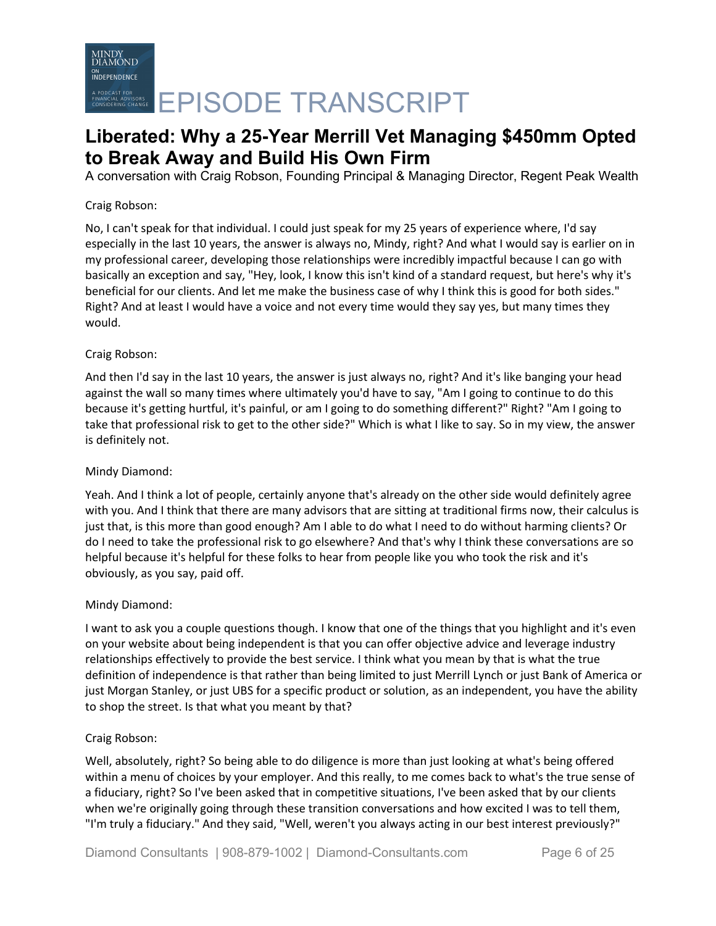A conversation with Craig Robson, Founding Principal & Managing Director, Regent Peak Wealth

# Craig Robson:

No, I can't speak for that individual. I could just speak for my 25 years of experience where, I'd say especially in the last 10 years, the answer is always no, Mindy, right? And what I would say is earlier on in my professional career, developing those relationships were incredibly impactful because I can go with basically an exception and say, "Hey, look, I know this isn't kind of a standard request, but here's why it's beneficial for our clients. And let me make the business case of why I think this is good for both sides." Right? And at least I would have a voice and not every time would they say yes, but many times they would.

# Craig Robson:

And then I'd say in the last 10 years, the answer is just always no, right? And it's like banging your head against the wall so many times where ultimately you'd have to say, "Am I going to continue to do this because it's getting hurtful, it's painful, or am I going to do something different?" Right? "Am I going to take that professional risk to get to the other side?" Which is what I like to say. So in my view, the answer is definitely not.

# Mindy Diamond:

Yeah. And I think a lot of people, certainly anyone that's already on the other side would definitely agree with you. And I think that there are many advisors that are sitting at traditional firms now, their calculus is just that, is this more than good enough? Am I able to do what I need to do without harming clients? Or do I need to take the professional risk to go elsewhere? And that's why I think these conversations are so helpful because it's helpful for these folks to hear from people like you who took the risk and it's obviously, as you say, paid off.

# Mindy Diamond:

I want to ask you a couple questions though. I know that one of the things that you highlight and it's even on your website about being independent is that you can offer objective advice and leverage industry relationships effectively to provide the best service. I think what you mean by that is what the true definition of independence is that rather than being limited to just Merrill Lynch or just Bank of America or just Morgan Stanley, or just UBS for a specific product or solution, as an independent, you have the ability to shop the street. Is that what you meant by that?

# Craig Robson:

Well, absolutely, right? So being able to do diligence is more than just looking at what's being offered within a menu of choices by your employer. And this really, to me comes back to what's the true sense of a fiduciary, right? So I've been asked that in competitive situations, I've been asked that by our clients when we're originally going through these transition conversations and how excited I was to tell them, "I'm truly a fiduciary." And they said, "Well, weren't you always acting in our best interest previously?"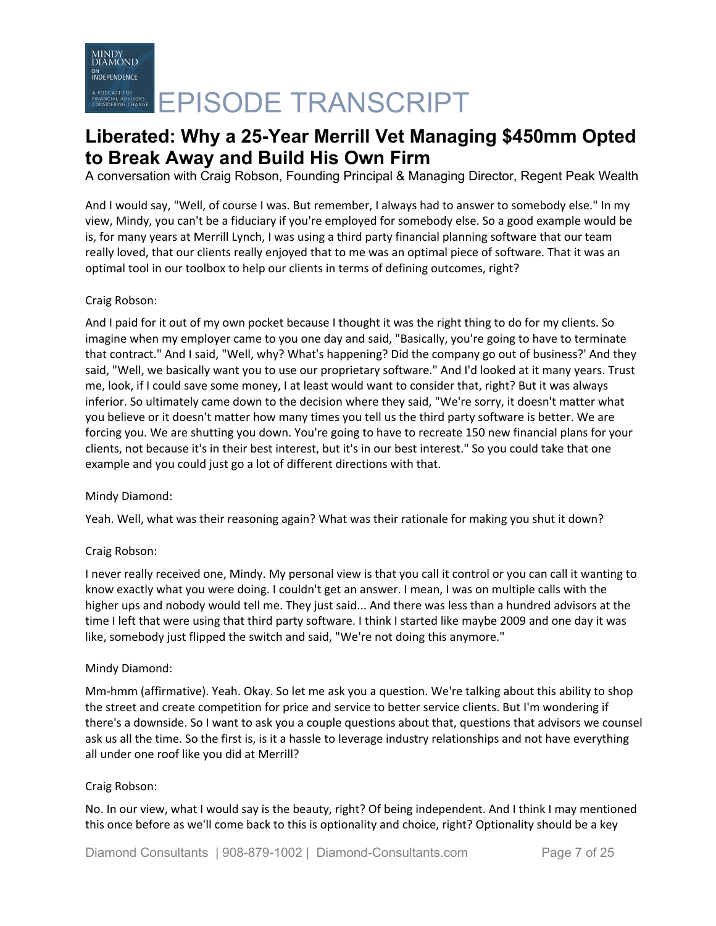A conversation with Craig Robson, Founding Principal & Managing Director, Regent Peak Wealth

And I would say, "Well, of course I was. But remember, I always had to answer to somebody else." In my view, Mindy, you can't be a fiduciary if you're employed for somebody else. So a good example would be is, for many years at Merrill Lynch, I was using a third party financial planning software that our team really loved, that our clients really enjoyed that to me was an optimal piece of software. That it was an optimal tool in our toolbox to help our clients in terms of defining outcomes, right?

# Craig Robson:

And I paid for it out of my own pocket because I thought it was the right thing to do for my clients. So imagine when my employer came to you one day and said, "Basically, you're going to have to terminate that contract." And I said, "Well, why? What's happening? Did the company go out of business?' And they said, "Well, we basically want you to use our proprietary software." And I'd looked at it many years. Trust me, look, if I could save some money, I at least would want to consider that, right? But it was always inferior. So ultimately came down to the decision where they said, "We're sorry, it doesn't matter what you believe or it doesn't matter how many times you tell us the third party software is better. We are forcing you. We are shutting you down. You're going to have to recreate 150 new financial plans for your clients, not because it's in their best interest, but it's in our best interest." So you could take that one example and you could just go a lot of different directions with that.

# Mindy Diamond:

Yeah. Well, what was their reasoning again? What was their rationale for making you shut it down?

# Craig Robson:

I never really received one, Mindy. My personal view is that you call it control or you can call it wanting to know exactly what you were doing. I couldn't get an answer. I mean, I was on multiple calls with the higher ups and nobody would tell me. They just said... And there was less than a hundred advisors at the time I left that were using that third party software. I think I started like maybe 2009 and one day it was like, somebody just flipped the switch and said, "We're not doing this anymore."

# Mindy Diamond:

Mm-hmm (affirmative). Yeah. Okay. So let me ask you a question. We're talking about this ability to shop the street and create competition for price and service to better service clients. But I'm wondering if there's a downside. So I want to ask you a couple questions about that, questions that advisors we counsel ask us all the time. So the first is, is it a hassle to leverage industry relationships and not have everything all under one roof like you did at Merrill?

# Craig Robson:

No. In our view, what I would say is the beauty, right? Of being independent. And I think I may mentioned this once before as we'll come back to this is optionality and choice, right? Optionality should be a key

Diamond Consultants | 908-879-1002 | Diamond-Consultants.com Page 7 of 25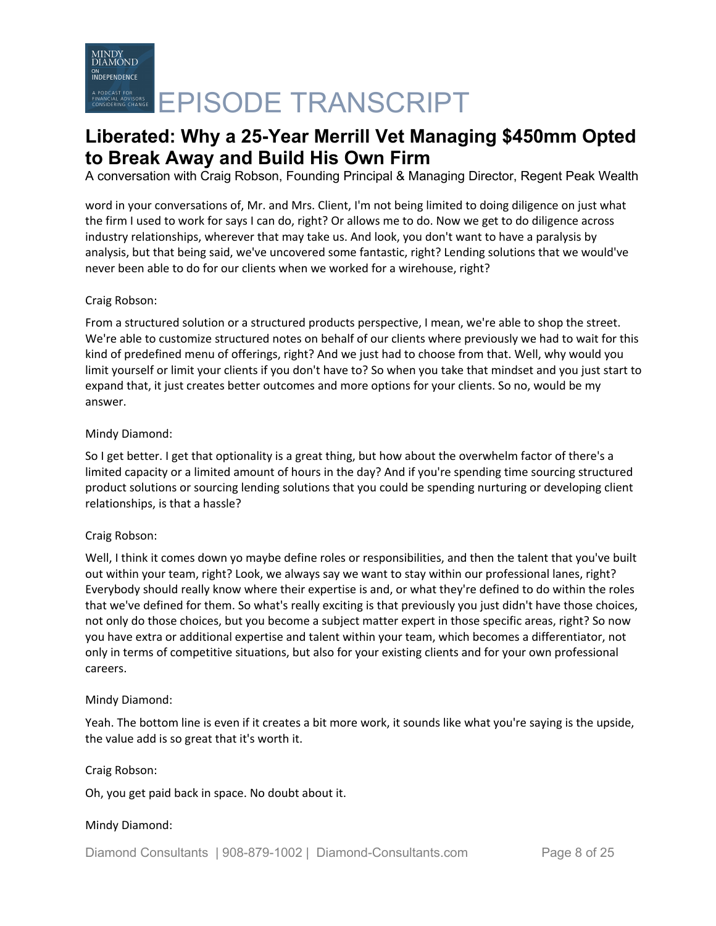A conversation with Craig Robson, Founding Principal & Managing Director, Regent Peak Wealth

word in your conversations of, Mr. and Mrs. Client, I'm not being limited to doing diligence on just what the firm I used to work for says I can do, right? Or allows me to do. Now we get to do diligence across industry relationships, wherever that may take us. And look, you don't want to have a paralysis by analysis, but that being said, we've uncovered some fantastic, right? Lending solutions that we would've never been able to do for our clients when we worked for a wirehouse, right?

# Craig Robson:

From a structured solution or a structured products perspective, I mean, we're able to shop the street. We're able to customize structured notes on behalf of our clients where previously we had to wait for this kind of predefined menu of offerings, right? And we just had to choose from that. Well, why would you limit yourself or limit your clients if you don't have to? So when you take that mindset and you just start to expand that, it just creates better outcomes and more options for your clients. So no, would be my answer.

# Mindy Diamond:

So I get better. I get that optionality is a great thing, but how about the overwhelm factor of there's a limited capacity or a limited amount of hours in the day? And if you're spending time sourcing structured product solutions or sourcing lending solutions that you could be spending nurturing or developing client relationships, is that a hassle?

# Craig Robson:

Well, I think it comes down yo maybe define roles or responsibilities, and then the talent that you've built out within your team, right? Look, we always say we want to stay within our professional lanes, right? Everybody should really know where their expertise is and, or what they're defined to do within the roles that we've defined for them. So what's really exciting is that previously you just didn't have those choices, not only do those choices, but you become a subject matter expert in those specific areas, right? So now you have extra or additional expertise and talent within your team, which becomes a differentiator, not only in terms of competitive situations, but also for your existing clients and for your own professional careers.

# Mindy Diamond:

Yeah. The bottom line is even if it creates a bit more work, it sounds like what you're saying is the upside, the value add is so great that it's worth it.

# Craig Robson:

Oh, you get paid back in space. No doubt about it.

# Mindy Diamond:

Diamond Consultants | 908-879-1002 | Diamond-Consultants.com Page 8 of 25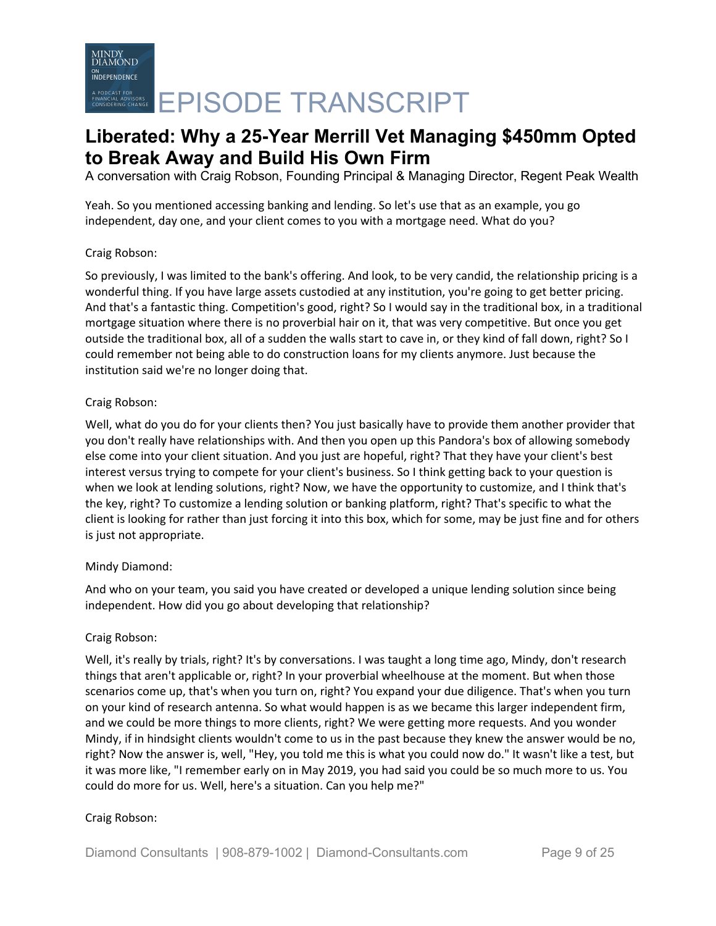A conversation with Craig Robson, Founding Principal & Managing Director, Regent Peak Wealth

Yeah. So you mentioned accessing banking and lending. So let's use that as an example, you go independent, day one, and your client comes to you with a mortgage need. What do you?

# Craig Robson:

So previously, I was limited to the bank's offering. And look, to be very candid, the relationship pricing is a wonderful thing. If you have large assets custodied at any institution, you're going to get better pricing. And that's a fantastic thing. Competition's good, right? So I would say in the traditional box, in a traditional mortgage situation where there is no proverbial hair on it, that was very competitive. But once you get outside the traditional box, all of a sudden the walls start to cave in, or they kind of fall down, right? So I could remember not being able to do construction loans for my clients anymore. Just because the institution said we're no longer doing that.

# Craig Robson:

Well, what do you do for your clients then? You just basically have to provide them another provider that you don't really have relationships with. And then you open up this Pandora's box of allowing somebody else come into your client situation. And you just are hopeful, right? That they have your client's best interest versus trying to compete for your client's business. So I think getting back to your question is when we look at lending solutions, right? Now, we have the opportunity to customize, and I think that's the key, right? To customize a lending solution or banking platform, right? That's specific to what the client is looking for rather than just forcing it into this box, which for some, may be just fine and for others is just not appropriate.

# Mindy Diamond:

And who on your team, you said you have created or developed a unique lending solution since being independent. How did you go about developing that relationship?

# Craig Robson:

Well, it's really by trials, right? It's by conversations. I was taught a long time ago, Mindy, don't research things that aren't applicable or, right? In your proverbial wheelhouse at the moment. But when those scenarios come up, that's when you turn on, right? You expand your due diligence. That's when you turn on your kind of research antenna. So what would happen is as we became this larger independent firm, and we could be more things to more clients, right? We were getting more requests. And you wonder Mindy, if in hindsight clients wouldn't come to us in the past because they knew the answer would be no, right? Now the answer is, well, "Hey, you told me this is what you could now do." It wasn't like a test, but it was more like, "I remember early on in May 2019, you had said you could be so much more to us. You could do more for us. Well, here's a situation. Can you help me?"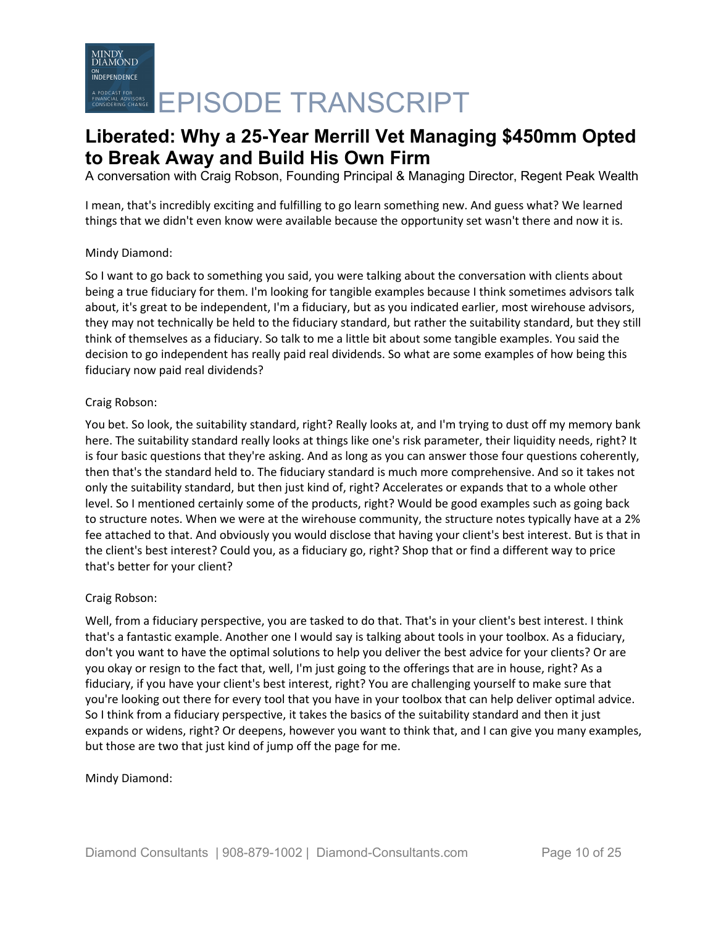A conversation with Craig Robson, Founding Principal & Managing Director, Regent Peak Wealth

I mean, that's incredibly exciting and fulfilling to go learn something new. And guess what? We learned things that we didn't even know were available because the opportunity set wasn't there and now it is.

# Mindy Diamond:

So I want to go back to something you said, you were talking about the conversation with clients about being a true fiduciary for them. I'm looking for tangible examples because I think sometimes advisors talk about, it's great to be independent, I'm a fiduciary, but as you indicated earlier, most wirehouse advisors, they may not technically be held to the fiduciary standard, but rather the suitability standard, but they still think of themselves as a fiduciary. So talk to me a little bit about some tangible examples. You said the decision to go independent has really paid real dividends. So what are some examples of how being this fiduciary now paid real dividends?

# Craig Robson:

You bet. So look, the suitability standard, right? Really looks at, and I'm trying to dust off my memory bank here. The suitability standard really looks at things like one's risk parameter, their liquidity needs, right? It is four basic questions that they're asking. And as long as you can answer those four questions coherently, then that's the standard held to. The fiduciary standard is much more comprehensive. And so it takes not only the suitability standard, but then just kind of, right? Accelerates or expands that to a whole other level. So I mentioned certainly some of the products, right? Would be good examples such as going back to structure notes. When we were at the wirehouse community, the structure notes typically have at a 2% fee attached to that. And obviously you would disclose that having your client's best interest. But is that in the client's best interest? Could you, as a fiduciary go, right? Shop that or find a different way to price that's better for your client?

# Craig Robson:

Well, from a fiduciary perspective, you are tasked to do that. That's in your client's best interest. I think that's a fantastic example. Another one I would say is talking about tools in your toolbox. As a fiduciary, don't you want to have the optimal solutions to help you deliver the best advice for your clients? Or are you okay or resign to the fact that, well, I'm just going to the offerings that are in house, right? As a fiduciary, if you have your client's best interest, right? You are challenging yourself to make sure that you're looking out there for every tool that you have in your toolbox that can help deliver optimal advice. So I think from a fiduciary perspective, it takes the basics of the suitability standard and then it just expands or widens, right? Or deepens, however you want to think that, and I can give you many examples, but those are two that just kind of jump off the page for me.

# Mindy Diamond: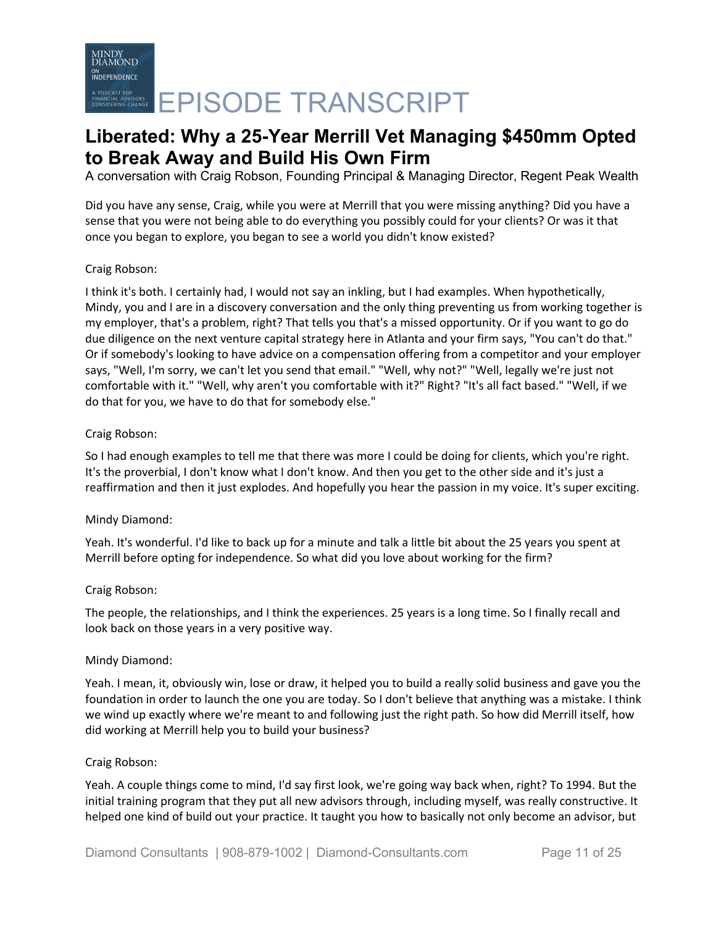# MINDY<br>DIAMOND **INDEPENDENCE** A PODCAST FOR CRANSCRIPT

# **Liberated: Why a 25-Year Merrill Vet Managing \$450mm Opted to Break Away and Build His Own Firm**

A conversation with Craig Robson, Founding Principal & Managing Director, Regent Peak Wealth

Did you have any sense, Craig, while you were at Merrill that you were missing anything? Did you have a sense that you were not being able to do everything you possibly could for your clients? Or was it that once you began to explore, you began to see a world you didn't know existed?

# Craig Robson:

I think it's both. I certainly had, I would not say an inkling, but I had examples. When hypothetically, Mindy, you and I are in a discovery conversation and the only thing preventing us from working together is my employer, that's a problem, right? That tells you that's a missed opportunity. Or if you want to go do due diligence on the next venture capital strategy here in Atlanta and your firm says, "You can't do that." Or if somebody's looking to have advice on a compensation offering from a competitor and your employer says, "Well, I'm sorry, we can't let you send that email." "Well, why not?" "Well, legally we're just not comfortable with it." "Well, why aren't you comfortable with it?" Right? "It's all fact based." "Well, if we do that for you, we have to do that for somebody else."

### Craig Robson:

So I had enough examples to tell me that there was more I could be doing for clients, which you're right. It's the proverbial, I don't know what I don't know. And then you get to the other side and it's just a reaffirmation and then it just explodes. And hopefully you hear the passion in my voice. It's super exciting.

#### Mindy Diamond:

Yeah. It's wonderful. I'd like to back up for a minute and talk a little bit about the 25 years you spent at Merrill before opting for independence. So what did you love about working for the firm?

#### Craig Robson:

The people, the relationships, and I think the experiences. 25 years is a long time. So I finally recall and look back on those years in a very positive way.

#### Mindy Diamond:

Yeah. I mean, it, obviously win, lose or draw, it helped you to build a really solid business and gave you the foundation in order to launch the one you are today. So I don't believe that anything was a mistake. I think we wind up exactly where we're meant to and following just the right path. So how did Merrill itself, how did working at Merrill help you to build your business?

#### Craig Robson:

Yeah. A couple things come to mind, I'd say first look, we're going way back when, right? To 1994. But the initial training program that they put all new advisors through, including myself, was really constructive. It helped one kind of build out your practice. It taught you how to basically not only become an advisor, but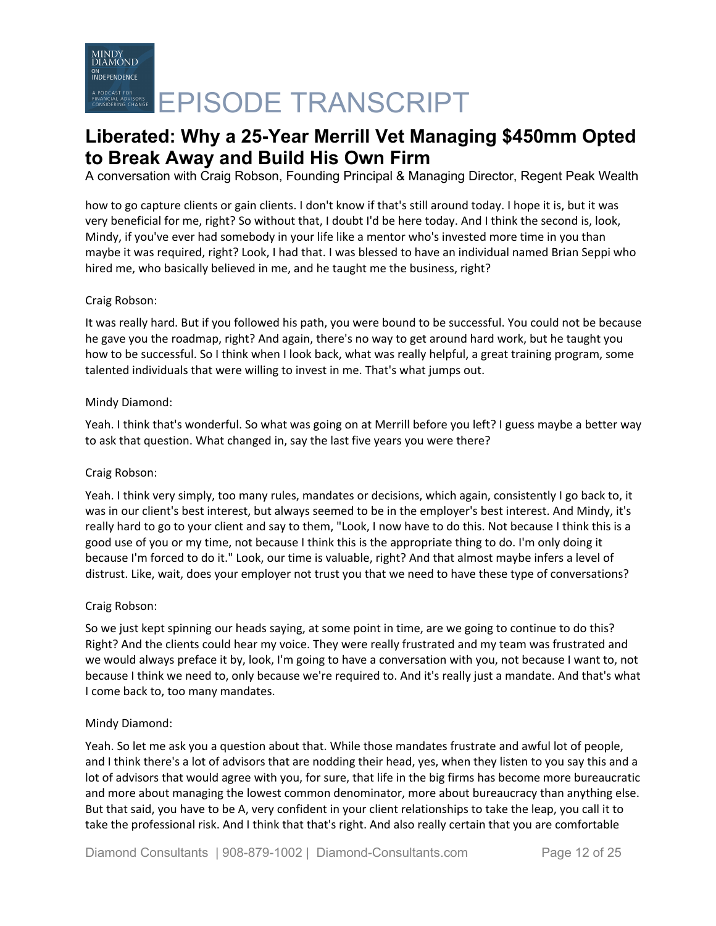A conversation with Craig Robson, Founding Principal & Managing Director, Regent Peak Wealth

how to go capture clients or gain clients. I don't know if that's still around today. I hope it is, but it was very beneficial for me, right? So without that, I doubt I'd be here today. And I think the second is, look, Mindy, if you've ever had somebody in your life like a mentor who's invested more time in you than maybe it was required, right? Look, I had that. I was blessed to have an individual named Brian Seppi who hired me, who basically believed in me, and he taught me the business, right?

# Craig Robson:

It was really hard. But if you followed his path, you were bound to be successful. You could not be because he gave you the roadmap, right? And again, there's no way to get around hard work, but he taught you how to be successful. So I think when I look back, what was really helpful, a great training program, some talented individuals that were willing to invest in me. That's what jumps out.

# Mindy Diamond:

Yeah. I think that's wonderful. So what was going on at Merrill before you left? I guess maybe a better way to ask that question. What changed in, say the last five years you were there?

# Craig Robson:

Yeah. I think very simply, too many rules, mandates or decisions, which again, consistently I go back to, it was in our client's best interest, but always seemed to be in the employer's best interest. And Mindy, it's really hard to go to your client and say to them, "Look, I now have to do this. Not because I think this is a good use of you or my time, not because I think this is the appropriate thing to do. I'm only doing it because I'm forced to do it." Look, our time is valuable, right? And that almost maybe infers a level of distrust. Like, wait, does your employer not trust you that we need to have these type of conversations?

# Craig Robson:

So we just kept spinning our heads saying, at some point in time, are we going to continue to do this? Right? And the clients could hear my voice. They were really frustrated and my team was frustrated and we would always preface it by, look, I'm going to have a conversation with you, not because I want to, not because I think we need to, only because we're required to. And it's really just a mandate. And that's what I come back to, too many mandates.

# Mindy Diamond:

Yeah. So let me ask you a question about that. While those mandates frustrate and awful lot of people, and I think there's a lot of advisors that are nodding their head, yes, when they listen to you say this and a lot of advisors that would agree with you, for sure, that life in the big firms has become more bureaucratic and more about managing the lowest common denominator, more about bureaucracy than anything else. But that said, you have to be A, very confident in your client relationships to take the leap, you call it to take the professional risk. And I think that that's right. And also really certain that you are comfortable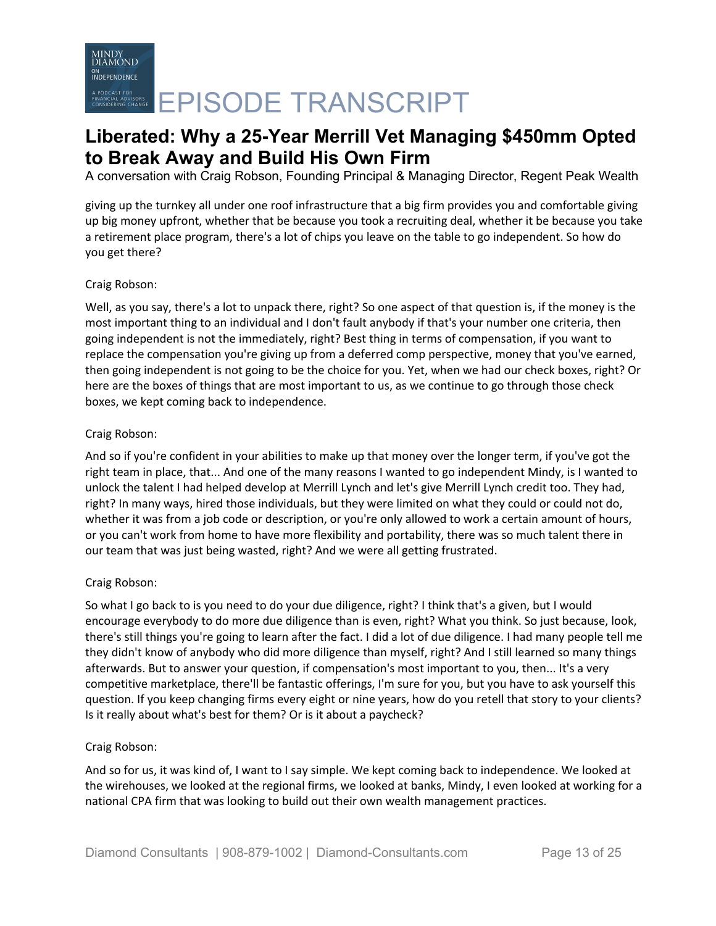A conversation with Craig Robson, Founding Principal & Managing Director, Regent Peak Wealth

giving up the turnkey all under one roof infrastructure that a big firm provides you and comfortable giving up big money upfront, whether that be because you took a recruiting deal, whether it be because you take a retirement place program, there's a lot of chips you leave on the table to go independent. So how do you get there?

# Craig Robson:

Well, as you say, there's a lot to unpack there, right? So one aspect of that question is, if the money is the most important thing to an individual and I don't fault anybody if that's your number one criteria, then going independent is not the immediately, right? Best thing in terms of compensation, if you want to replace the compensation you're giving up from a deferred comp perspective, money that you've earned, then going independent is not going to be the choice for you. Yet, when we had our check boxes, right? Or here are the boxes of things that are most important to us, as we continue to go through those check boxes, we kept coming back to independence.

# Craig Robson:

And so if you're confident in your abilities to make up that money over the longer term, if you've got the right team in place, that... And one of the many reasons I wanted to go independent Mindy, is I wanted to unlock the talent I had helped develop at Merrill Lynch and let's give Merrill Lynch credit too. They had, right? In many ways, hired those individuals, but they were limited on what they could or could not do, whether it was from a job code or description, or you're only allowed to work a certain amount of hours, or you can't work from home to have more flexibility and portability, there was so much talent there in our team that was just being wasted, right? And we were all getting frustrated.

# Craig Robson:

So what I go back to is you need to do your due diligence, right? I think that's a given, but I would encourage everybody to do more due diligence than is even, right? What you think. So just because, look, there's still things you're going to learn after the fact. I did a lot of due diligence. I had many people tell me they didn't know of anybody who did more diligence than myself, right? And I still learned so many things afterwards. But to answer your question, if compensation's most important to you, then... It's a very competitive marketplace, there'll be fantastic offerings, I'm sure for you, but you have to ask yourself this question. If you keep changing firms every eight or nine years, how do you retell that story to your clients? Is it really about what's best for them? Or is it about a paycheck?

# Craig Robson:

And so for us, it was kind of, I want to I say simple. We kept coming back to independence. We looked at the wirehouses, we looked at the regional firms, we looked at banks, Mindy, I even looked at working for a national CPA firm that was looking to build out their own wealth management practices.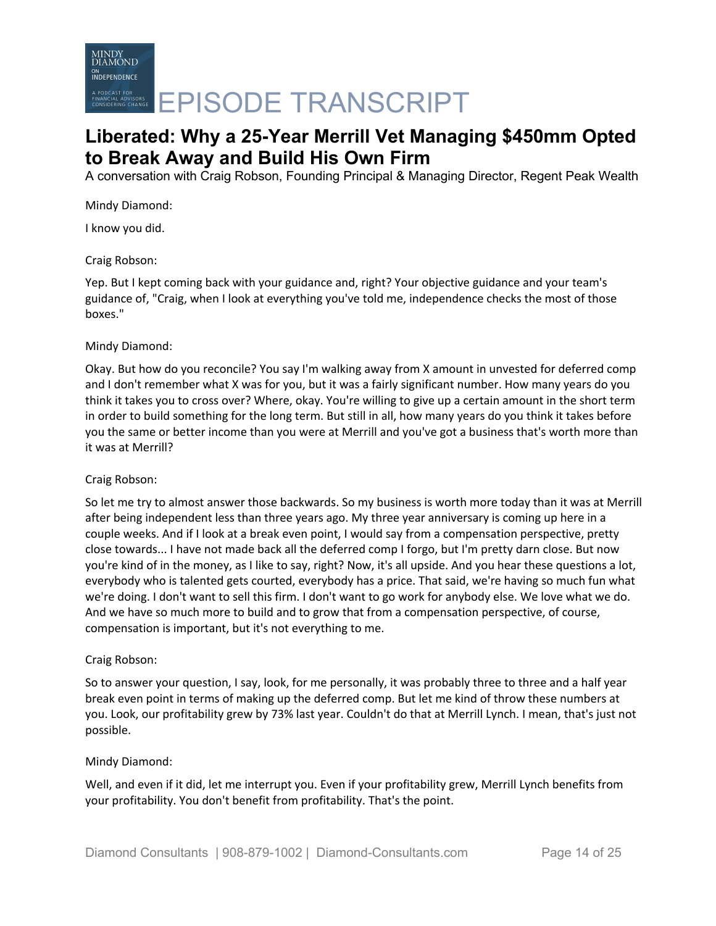A conversation with Craig Robson, Founding Principal & Managing Director, Regent Peak Wealth

Mindy Diamond:

I know you did.

Craig Robson:

Yep. But I kept coming back with your guidance and, right? Your objective guidance and your team's guidance of, "Craig, when I look at everything you've told me, independence checks the most of those boxes."

### Mindy Diamond:

Okay. But how do you reconcile? You say I'm walking away from X amount in unvested for deferred comp and I don't remember what X was for you, but it was a fairly significant number. How many years do you think it takes you to cross over? Where, okay. You're willing to give up a certain amount in the short term in order to build something for the long term. But still in all, how many years do you think it takes before you the same or better income than you were at Merrill and you've got a business that's worth more than it was at Merrill?

#### Craig Robson:

So let me try to almost answer those backwards. So my business is worth more today than it was at Merrill after being independent less than three years ago. My three year anniversary is coming up here in a couple weeks. And if I look at a break even point, I would say from a compensation perspective, pretty close towards... I have not made back all the deferred comp I forgo, but I'm pretty darn close. But now you're kind of in the money, as I like to say, right? Now, it's all upside. And you hear these questions a lot, everybody who is talented gets courted, everybody has a price. That said, we're having so much fun what we're doing. I don't want to sell this firm. I don't want to go work for anybody else. We love what we do. And we have so much more to build and to grow that from a compensation perspective, of course, compensation is important, but it's not everything to me.

# Craig Robson:

So to answer your question, I say, look, for me personally, it was probably three to three and a half year break even point in terms of making up the deferred comp. But let me kind of throw these numbers at you. Look, our profitability grew by 73% last year. Couldn't do that at Merrill Lynch. I mean, that's just not possible.

# Mindy Diamond:

Well, and even if it did, let me interrupt you. Even if your profitability grew, Merrill Lynch benefits from your profitability. You don't benefit from profitability. That's the point.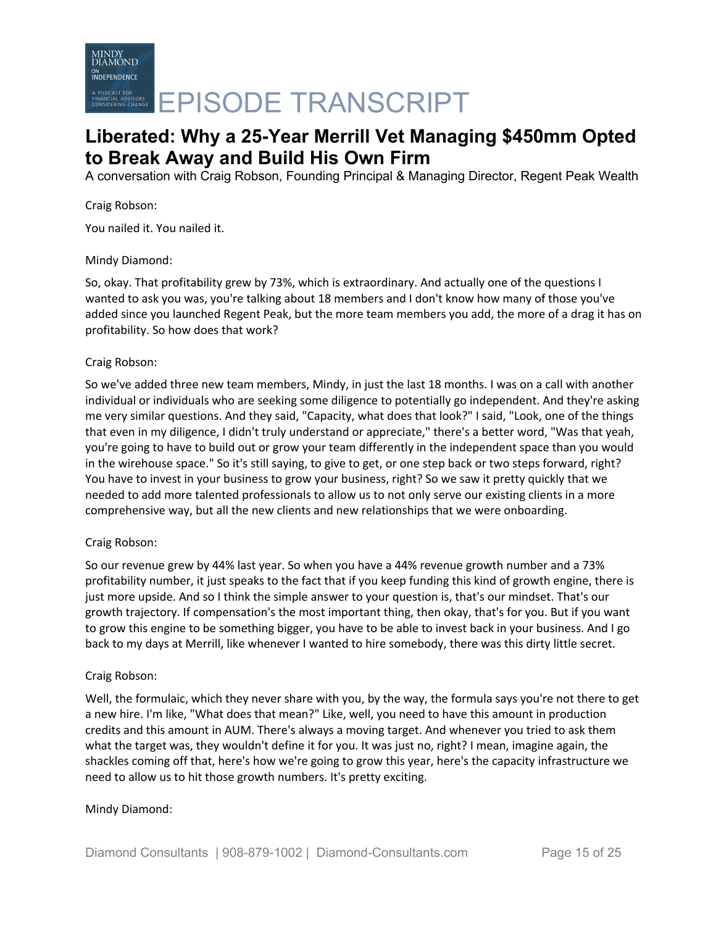

A conversation with Craig Robson, Founding Principal & Managing Director, Regent Peak Wealth

Craig Robson:

You nailed it. You nailed it.

### Mindy Diamond:

So, okay. That profitability grew by 73%, which is extraordinary. And actually one of the questions I wanted to ask you was, you're talking about 18 members and I don't know how many of those you've added since you launched Regent Peak, but the more team members you add, the more of a drag it has on profitability. So how does that work?

### Craig Robson:

So we've added three new team members, Mindy, in just the last 18 months. I was on a call with another individual or individuals who are seeking some diligence to potentially go independent. And they're asking me very similar questions. And they said, "Capacity, what does that look?" I said, "Look, one of the things that even in my diligence, I didn't truly understand or appreciate," there's a better word, "Was that yeah, you're going to have to build out or grow your team differently in the independent space than you would in the wirehouse space." So it's still saying, to give to get, or one step back or two steps forward, right? You have to invest in your business to grow your business, right? So we saw it pretty quickly that we needed to add more talented professionals to allow us to not only serve our existing clients in a more comprehensive way, but all the new clients and new relationships that we were onboarding.

# Craig Robson:

So our revenue grew by 44% last year. So when you have a 44% revenue growth number and a 73% profitability number, it just speaks to the fact that if you keep funding this kind of growth engine, there is just more upside. And so I think the simple answer to your question is, that's our mindset. That's our growth trajectory. If compensation's the most important thing, then okay, that's for you. But if you want to grow this engine to be something bigger, you have to be able to invest back in your business. And I go back to my days at Merrill, like whenever I wanted to hire somebody, there was this dirty little secret.

#### Craig Robson:

Well, the formulaic, which they never share with you, by the way, the formula says you're not there to get a new hire. I'm like, "What does that mean?" Like, well, you need to have this amount in production credits and this amount in AUM. There's always a moving target. And whenever you tried to ask them what the target was, they wouldn't define it for you. It was just no, right? I mean, imagine again, the shackles coming off that, here's how we're going to grow this year, here's the capacity infrastructure we need to allow us to hit those growth numbers. It's pretty exciting.

# Mindy Diamond: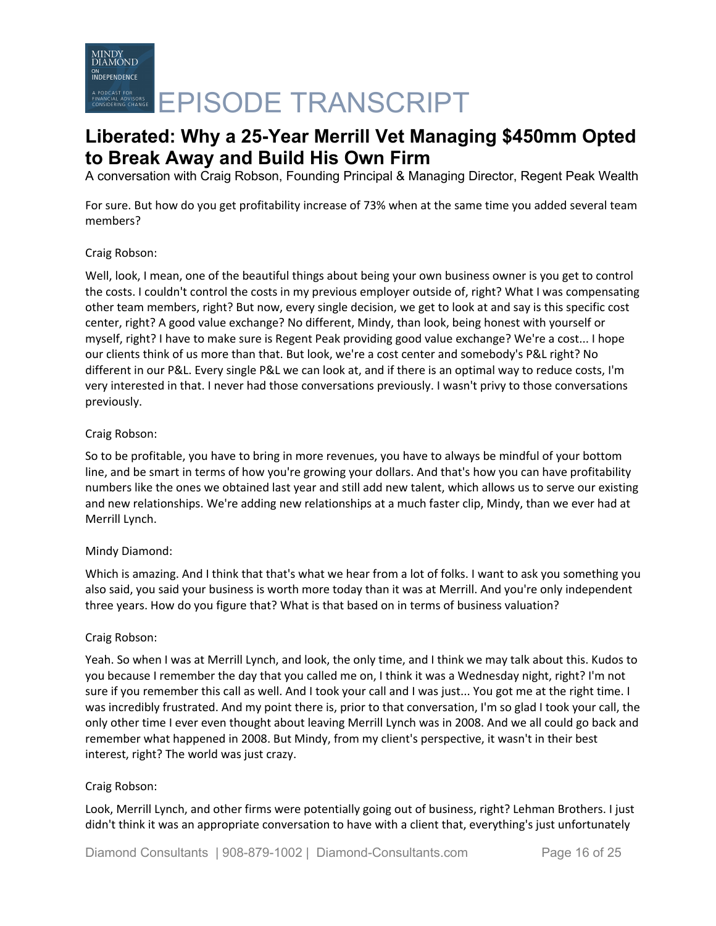# MINDY<br>DIAMOND **INDEPENDENCE** A PODCAST FOR CHARGE **EPISODE TRANSCRIPT**

# **Liberated: Why a 25-Year Merrill Vet Managing \$450mm Opted to Break Away and Build His Own Firm**

A conversation with Craig Robson, Founding Principal & Managing Director, Regent Peak Wealth

For sure. But how do you get profitability increase of 73% when at the same time you added several team members?

# Craig Robson:

Well, look, I mean, one of the beautiful things about being your own business owner is you get to control the costs. I couldn't control the costs in my previous employer outside of, right? What I was compensating other team members, right? But now, every single decision, we get to look at and say is this specific cost center, right? A good value exchange? No different, Mindy, than look, being honest with yourself or myself, right? I have to make sure is Regent Peak providing good value exchange? We're a cost... I hope our clients think of us more than that. But look, we're a cost center and somebody's P&L right? No different in our P&L. Every single P&L we can look at, and if there is an optimal way to reduce costs, I'm very interested in that. I never had those conversations previously. I wasn't privy to those conversations previously.

# Craig Robson:

So to be profitable, you have to bring in more revenues, you have to always be mindful of your bottom line, and be smart in terms of how you're growing your dollars. And that's how you can have profitability numbers like the ones we obtained last year and still add new talent, which allows us to serve our existing and new relationships. We're adding new relationships at a much faster clip, Mindy, than we ever had at Merrill Lynch.

# Mindy Diamond:

Which is amazing. And I think that that's what we hear from a lot of folks. I want to ask you something you also said, you said your business is worth more today than it was at Merrill. And you're only independent three years. How do you figure that? What is that based on in terms of business valuation?

# Craig Robson:

Yeah. So when I was at Merrill Lynch, and look, the only time, and I think we may talk about this. Kudos to you because I remember the day that you called me on, I think it was a Wednesday night, right? I'm not sure if you remember this call as well. And I took your call and I was just... You got me at the right time. I was incredibly frustrated. And my point there is, prior to that conversation, I'm so glad I took your call, the only other time I ever even thought about leaving Merrill Lynch was in 2008. And we all could go back and remember what happened in 2008. But Mindy, from my client's perspective, it wasn't in their best interest, right? The world was just crazy.

# Craig Robson:

Look, Merrill Lynch, and other firms were potentially going out of business, right? Lehman Brothers. I just didn't think it was an appropriate conversation to have with a client that, everything's just unfortunately

Diamond Consultants | 908-879-1002 | Diamond-Consultants.com Page 16 of 25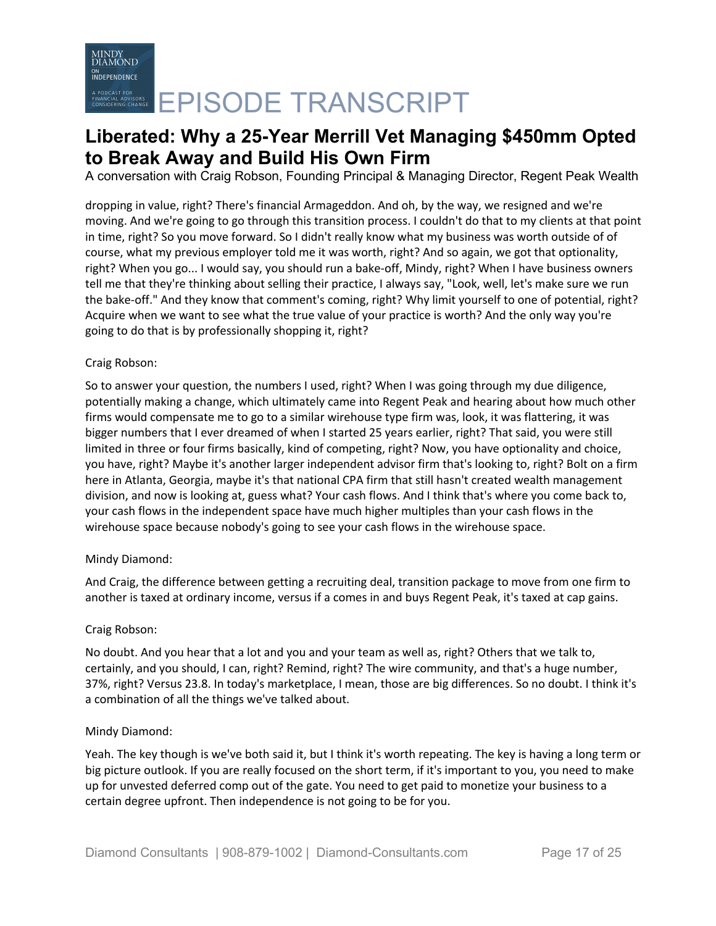A conversation with Craig Robson, Founding Principal & Managing Director, Regent Peak Wealth

dropping in value, right? There's financial Armageddon. And oh, by the way, we resigned and we're moving. And we're going to go through this transition process. I couldn't do that to my clients at that point in time, right? So you move forward. So I didn't really know what my business was worth outside of of course, what my previous employer told me it was worth, right? And so again, we got that optionality, right? When you go... I would say, you should run a bake-off, Mindy, right? When I have business owners tell me that they're thinking about selling their practice, I always say, "Look, well, let's make sure we run the bake-off." And they know that comment's coming, right? Why limit yourself to one of potential, right? Acquire when we want to see what the true value of your practice is worth? And the only way you're going to do that is by professionally shopping it, right?

# Craig Robson:

So to answer your question, the numbers I used, right? When I was going through my due diligence, potentially making a change, which ultimately came into Regent Peak and hearing about how much other firms would compensate me to go to a similar wirehouse type firm was, look, it was flattering, it was bigger numbers that I ever dreamed of when I started 25 years earlier, right? That said, you were still limited in three or four firms basically, kind of competing, right? Now, you have optionality and choice, you have, right? Maybe it's another larger independent advisor firm that's looking to, right? Bolt on a firm here in Atlanta, Georgia, maybe it's that national CPA firm that still hasn't created wealth management division, and now is looking at, guess what? Your cash flows. And I think that's where you come back to, your cash flows in the independent space have much higher multiples than your cash flows in the wirehouse space because nobody's going to see your cash flows in the wirehouse space.

# Mindy Diamond:

And Craig, the difference between getting a recruiting deal, transition package to move from one firm to another is taxed at ordinary income, versus if a comes in and buys Regent Peak, it's taxed at cap gains.

# Craig Robson:

No doubt. And you hear that a lot and you and your team as well as, right? Others that we talk to, certainly, and you should, I can, right? Remind, right? The wire community, and that's a huge number, 37%, right? Versus 23.8. In today's marketplace, I mean, those are big differences. So no doubt. I think it's a combination of all the things we've talked about.

#### Mindy Diamond:

Yeah. The key though is we've both said it, but I think it's worth repeating. The key is having a long term or big picture outlook. If you are really focused on the short term, if it's important to you, you need to make up for unvested deferred comp out of the gate. You need to get paid to monetize your business to a certain degree upfront. Then independence is not going to be for you.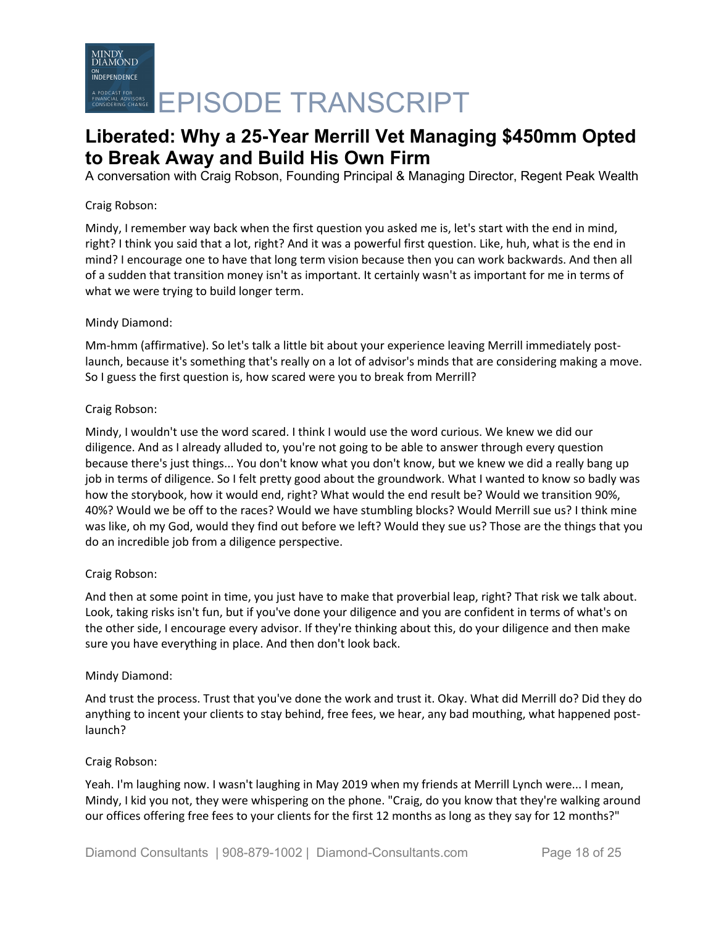A conversation with Craig Robson, Founding Principal & Managing Director, Regent Peak Wealth

# Craig Robson:

Mindy, I remember way back when the first question you asked me is, let's start with the end in mind, right? I think you said that a lot, right? And it was a powerful first question. Like, huh, what is the end in mind? I encourage one to have that long term vision because then you can work backwards. And then all of a sudden that transition money isn't as important. It certainly wasn't as important for me in terms of what we were trying to build longer term.

# Mindy Diamond:

Mm-hmm (affirmative). So let's talk a little bit about your experience leaving Merrill immediately postlaunch, because it's something that's really on a lot of advisor's minds that are considering making a move. So I guess the first question is, how scared were you to break from Merrill?

# Craig Robson:

Mindy, I wouldn't use the word scared. I think I would use the word curious. We knew we did our diligence. And as I already alluded to, you're not going to be able to answer through every question because there's just things... You don't know what you don't know, but we knew we did a really bang up job in terms of diligence. So I felt pretty good about the groundwork. What I wanted to know so badly was how the storybook, how it would end, right? What would the end result be? Would we transition 90%, 40%? Would we be off to the races? Would we have stumbling blocks? Would Merrill sue us? I think mine was like, oh my God, would they find out before we left? Would they sue us? Those are the things that you do an incredible job from a diligence perspective.

# Craig Robson:

And then at some point in time, you just have to make that proverbial leap, right? That risk we talk about. Look, taking risks isn't fun, but if you've done your diligence and you are confident in terms of what's on the other side, I encourage every advisor. If they're thinking about this, do your diligence and then make sure you have everything in place. And then don't look back.

# Mindy Diamond:

And trust the process. Trust that you've done the work and trust it. Okay. What did Merrill do? Did they do anything to incent your clients to stay behind, free fees, we hear, any bad mouthing, what happened postlaunch?

# Craig Robson:

Yeah. I'm laughing now. I wasn't laughing in May 2019 when my friends at Merrill Lynch were... I mean, Mindy, I kid you not, they were whispering on the phone. "Craig, do you know that they're walking around our offices offering free fees to your clients for the first 12 months as long as they say for 12 months?"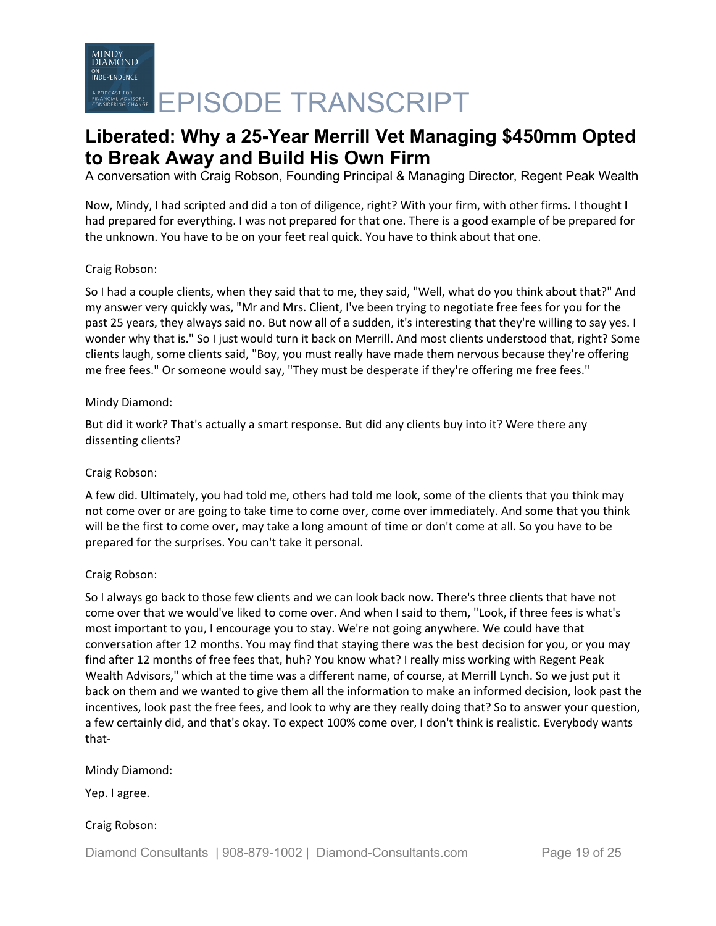A conversation with Craig Robson, Founding Principal & Managing Director, Regent Peak Wealth

Now, Mindy, I had scripted and did a ton of diligence, right? With your firm, with other firms. I thought I had prepared for everything. I was not prepared for that one. There is a good example of be prepared for the unknown. You have to be on your feet real quick. You have to think about that one.

# Craig Robson:

So I had a couple clients, when they said that to me, they said, "Well, what do you think about that?" And my answer very quickly was, "Mr and Mrs. Client, I've been trying to negotiate free fees for you for the past 25 years, they always said no. But now all of a sudden, it's interesting that they're willing to say yes. I wonder why that is." So I just would turn it back on Merrill. And most clients understood that, right? Some clients laugh, some clients said, "Boy, you must really have made them nervous because they're offering me free fees." Or someone would say, "They must be desperate if they're offering me free fees."

### Mindy Diamond:

But did it work? That's actually a smart response. But did any clients buy into it? Were there any dissenting clients?

# Craig Robson:

A few did. Ultimately, you had told me, others had told me look, some of the clients that you think may not come over or are going to take time to come over, come over immediately. And some that you think will be the first to come over, may take a long amount of time or don't come at all. So you have to be prepared for the surprises. You can't take it personal.

# Craig Robson:

So I always go back to those few clients and we can look back now. There's three clients that have not come over that we would've liked to come over. And when I said to them, "Look, if three fees is what's most important to you, I encourage you to stay. We're not going anywhere. We could have that conversation after 12 months. You may find that staying there was the best decision for you, or you may find after 12 months of free fees that, huh? You know what? I really miss working with Regent Peak Wealth Advisors," which at the time was a different name, of course, at Merrill Lynch. So we just put it back on them and we wanted to give them all the information to make an informed decision, look past the incentives, look past the free fees, and look to why are they really doing that? So to answer your question, a few certainly did, and that's okay. To expect 100% come over, I don't think is realistic. Everybody wants that-

#### Mindy Diamond:

Yep. I agree.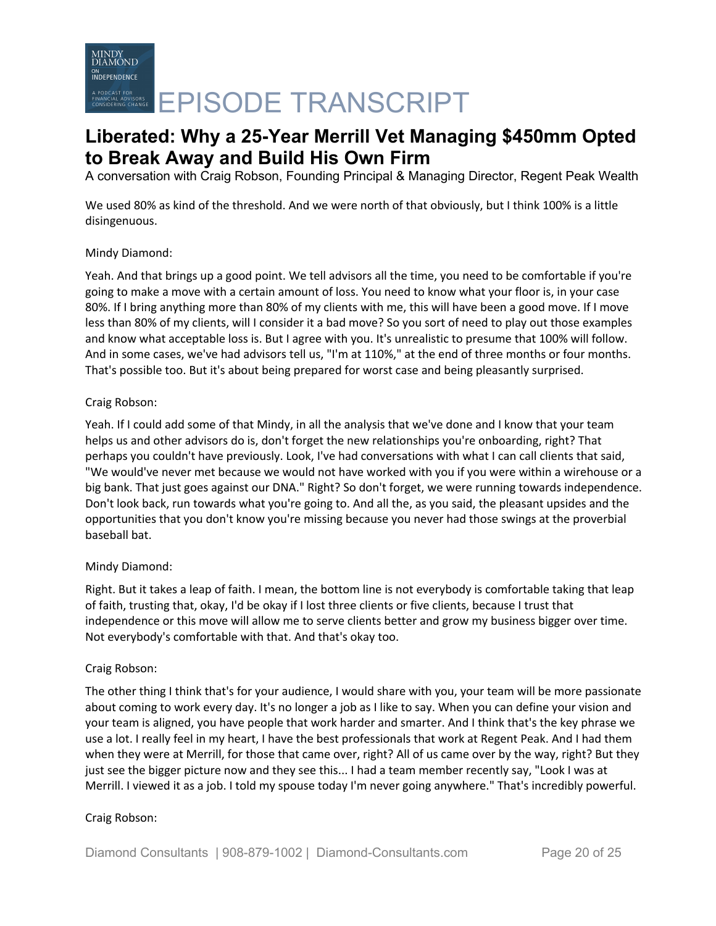# MINDY<br>DIAMOND **INDEPENDENCE** A PODCAST FOR CHARGE **EPISODE TRANSCRIPT**

# **Liberated: Why a 25-Year Merrill Vet Managing \$450mm Opted to Break Away and Build His Own Firm**

A conversation with Craig Robson, Founding Principal & Managing Director, Regent Peak Wealth

We used 80% as kind of the threshold. And we were north of that obviously, but I think 100% is a little disingenuous.

# Mindy Diamond:

Yeah. And that brings up a good point. We tell advisors all the time, you need to be comfortable if you're going to make a move with a certain amount of loss. You need to know what your floor is, in your case 80%. If I bring anything more than 80% of my clients with me, this will have been a good move. If I move less than 80% of my clients, will I consider it a bad move? So you sort of need to play out those examples and know what acceptable loss is. But I agree with you. It's unrealistic to presume that 100% will follow. And in some cases, we've had advisors tell us, "I'm at 110%," at the end of three months or four months. That's possible too. But it's about being prepared for worst case and being pleasantly surprised.

# Craig Robson:

Yeah. If I could add some of that Mindy, in all the analysis that we've done and I know that your team helps us and other advisors do is, don't forget the new relationships you're onboarding, right? That perhaps you couldn't have previously. Look, I've had conversations with what I can call clients that said, "We would've never met because we would not have worked with you if you were within a wirehouse or a big bank. That just goes against our DNA." Right? So don't forget, we were running towards independence. Don't look back, run towards what you're going to. And all the, as you said, the pleasant upsides and the opportunities that you don't know you're missing because you never had those swings at the proverbial baseball bat.

# Mindy Diamond:

Right. But it takes a leap of faith. I mean, the bottom line is not everybody is comfortable taking that leap of faith, trusting that, okay, I'd be okay if I lost three clients or five clients, because I trust that independence or this move will allow me to serve clients better and grow my business bigger over time. Not everybody's comfortable with that. And that's okay too.

# Craig Robson:

The other thing I think that's for your audience, I would share with you, your team will be more passionate about coming to work every day. It's no longer a job as I like to say. When you can define your vision and your team is aligned, you have people that work harder and smarter. And I think that's the key phrase we use a lot. I really feel in my heart, I have the best professionals that work at Regent Peak. And I had them when they were at Merrill, for those that came over, right? All of us came over by the way, right? But they just see the bigger picture now and they see this... I had a team member recently say, "Look I was at Merrill. I viewed it as a job. I told my spouse today I'm never going anywhere." That's incredibly powerful.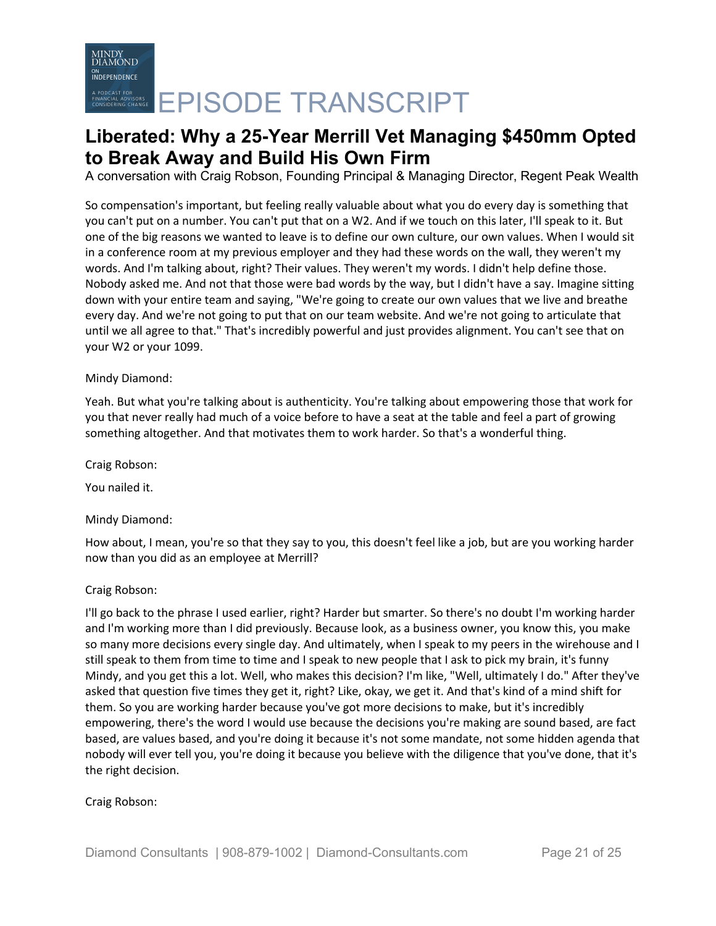A conversation with Craig Robson, Founding Principal & Managing Director, Regent Peak Wealth

So compensation's important, but feeling really valuable about what you do every day is something that you can't put on a number. You can't put that on a W2. And if we touch on this later, I'll speak to it. But one of the big reasons we wanted to leave is to define our own culture, our own values. When I would sit in a conference room at my previous employer and they had these words on the wall, they weren't my words. And I'm talking about, right? Their values. They weren't my words. I didn't help define those. Nobody asked me. And not that those were bad words by the way, but I didn't have a say. Imagine sitting down with your entire team and saying, "We're going to create our own values that we live and breathe every day. And we're not going to put that on our team website. And we're not going to articulate that until we all agree to that." That's incredibly powerful and just provides alignment. You can't see that on your W2 or your 1099.

# Mindy Diamond:

Yeah. But what you're talking about is authenticity. You're talking about empowering those that work for you that never really had much of a voice before to have a seat at the table and feel a part of growing something altogether. And that motivates them to work harder. So that's a wonderful thing.

Craig Robson:

You nailed it.

# Mindy Diamond:

How about, I mean, you're so that they say to you, this doesn't feel like a job, but are you working harder now than you did as an employee at Merrill?

# Craig Robson:

I'll go back to the phrase I used earlier, right? Harder but smarter. So there's no doubt I'm working harder and I'm working more than I did previously. Because look, as a business owner, you know this, you make so many more decisions every single day. And ultimately, when I speak to my peers in the wirehouse and I still speak to them from time to time and I speak to new people that I ask to pick my brain, it's funny Mindy, and you get this a lot. Well, who makes this decision? I'm like, "Well, ultimately I do." After they've asked that question five times they get it, right? Like, okay, we get it. And that's kind of a mind shift for them. So you are working harder because you've got more decisions to make, but it's incredibly empowering, there's the word I would use because the decisions you're making are sound based, are fact based, are values based, and you're doing it because it's not some mandate, not some hidden agenda that nobody will ever tell you, you're doing it because you believe with the diligence that you've done, that it's the right decision.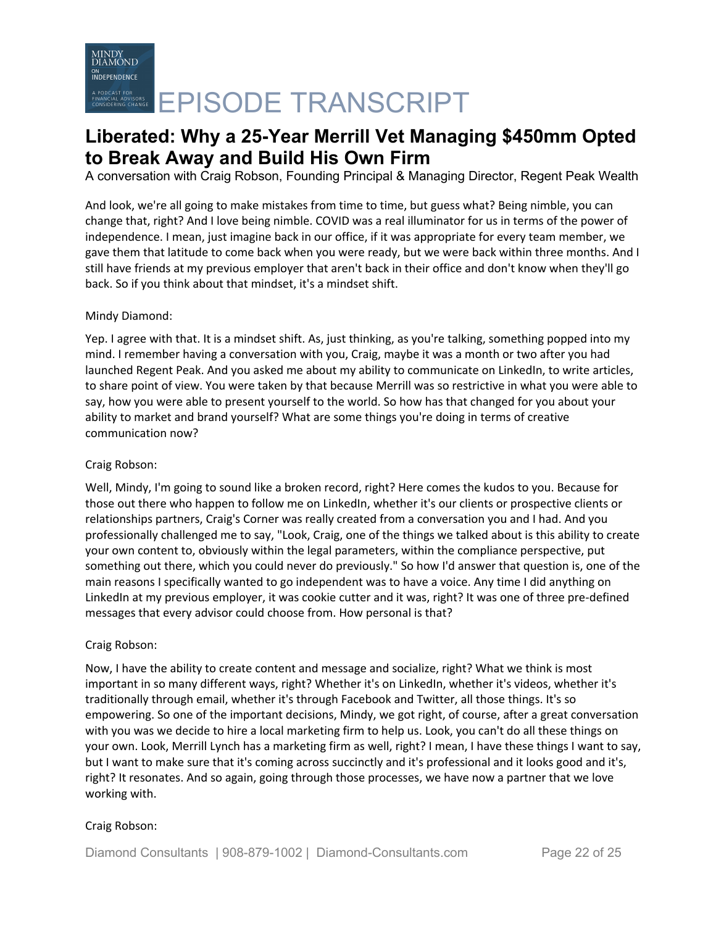A conversation with Craig Robson, Founding Principal & Managing Director, Regent Peak Wealth

And look, we're all going to make mistakes from time to time, but guess what? Being nimble, you can change that, right? And I love being nimble. COVID was a real illuminator for us in terms of the power of independence. I mean, just imagine back in our office, if it was appropriate for every team member, we gave them that latitude to come back when you were ready, but we were back within three months. And I still have friends at my previous employer that aren't back in their office and don't know when they'll go back. So if you think about that mindset, it's a mindset shift.

# Mindy Diamond:

Yep. I agree with that. It is a mindset shift. As, just thinking, as you're talking, something popped into my mind. I remember having a conversation with you, Craig, maybe it was a month or two after you had launched Regent Peak. And you asked me about my ability to communicate on LinkedIn, to write articles, to share point of view. You were taken by that because Merrill was so restrictive in what you were able to say, how you were able to present yourself to the world. So how has that changed for you about your ability to market and brand yourself? What are some things you're doing in terms of creative communication now?

# Craig Robson:

Well, Mindy, I'm going to sound like a broken record, right? Here comes the kudos to you. Because for those out there who happen to follow me on LinkedIn, whether it's our clients or prospective clients or relationships partners, Craig's Corner was really created from a conversation you and I had. And you professionally challenged me to say, "Look, Craig, one of the things we talked about is this ability to create your own content to, obviously within the legal parameters, within the compliance perspective, put something out there, which you could never do previously." So how I'd answer that question is, one of the main reasons I specifically wanted to go independent was to have a voice. Any time I did anything on LinkedIn at my previous employer, it was cookie cutter and it was, right? It was one of three pre-defined messages that every advisor could choose from. How personal is that?

# Craig Robson:

Now, I have the ability to create content and message and socialize, right? What we think is most important in so many different ways, right? Whether it's on LinkedIn, whether it's videos, whether it's traditionally through email, whether it's through Facebook and Twitter, all those things. It's so empowering. So one of the important decisions, Mindy, we got right, of course, after a great conversation with you was we decide to hire a local marketing firm to help us. Look, you can't do all these things on your own. Look, Merrill Lynch has a marketing firm as well, right? I mean, I have these things I want to say, but I want to make sure that it's coming across succinctly and it's professional and it looks good and it's, right? It resonates. And so again, going through those processes, we have now a partner that we love working with.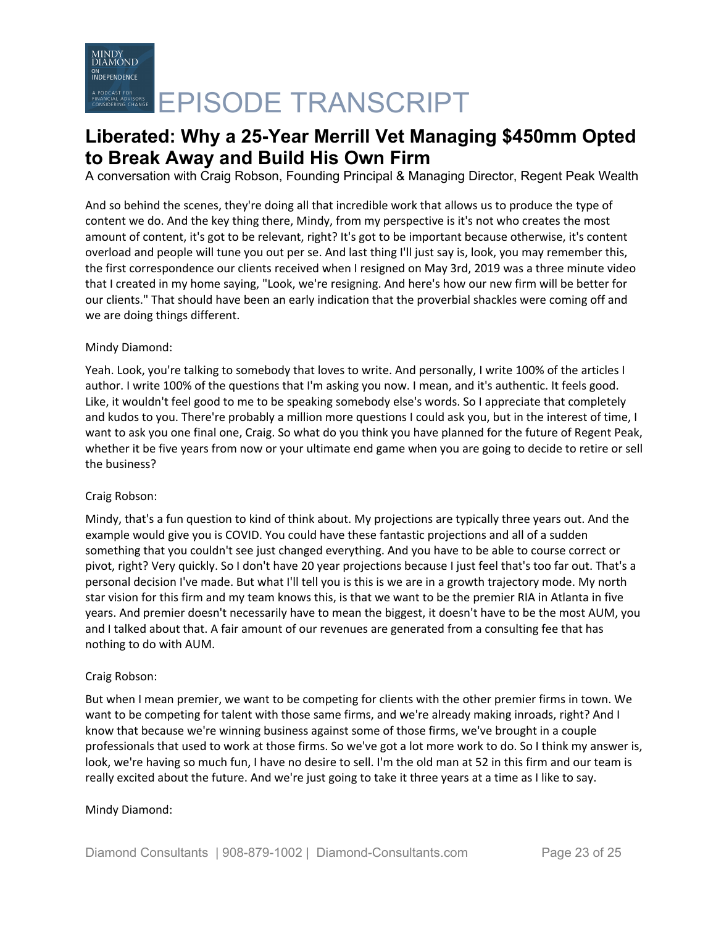A conversation with Craig Robson, Founding Principal & Managing Director, Regent Peak Wealth

And so behind the scenes, they're doing all that incredible work that allows us to produce the type of content we do. And the key thing there, Mindy, from my perspective is it's not who creates the most amount of content, it's got to be relevant, right? It's got to be important because otherwise, it's content overload and people will tune you out per se. And last thing I'll just say is, look, you may remember this, the first correspondence our clients received when I resigned on May 3rd, 2019 was a three minute video that I created in my home saying, "Look, we're resigning. And here's how our new firm will be better for our clients." That should have been an early indication that the proverbial shackles were coming off and we are doing things different.

# Mindy Diamond:

Yeah. Look, you're talking to somebody that loves to write. And personally, I write 100% of the articles I author. I write 100% of the questions that I'm asking you now. I mean, and it's authentic. It feels good. Like, it wouldn't feel good to me to be speaking somebody else's words. So I appreciate that completely and kudos to you. There're probably a million more questions I could ask you, but in the interest of time, I want to ask you one final one, Craig. So what do you think you have planned for the future of Regent Peak, whether it be five years from now or your ultimate end game when you are going to decide to retire or sell the business?

# Craig Robson:

Mindy, that's a fun question to kind of think about. My projections are typically three years out. And the example would give you is COVID. You could have these fantastic projections and all of a sudden something that you couldn't see just changed everything. And you have to be able to course correct or pivot, right? Very quickly. So I don't have 20 year projections because I just feel that's too far out. That's a personal decision I've made. But what I'll tell you is this is we are in a growth trajectory mode. My north star vision for this firm and my team knows this, is that we want to be the premier RIA in Atlanta in five years. And premier doesn't necessarily have to mean the biggest, it doesn't have to be the most AUM, you and I talked about that. A fair amount of our revenues are generated from a consulting fee that has nothing to do with AUM.

# Craig Robson:

But when I mean premier, we want to be competing for clients with the other premier firms in town. We want to be competing for talent with those same firms, and we're already making inroads, right? And I know that because we're winning business against some of those firms, we've brought in a couple professionals that used to work at those firms. So we've got a lot more work to do. So I think my answer is, look, we're having so much fun, I have no desire to sell. I'm the old man at 52 in this firm and our team is really excited about the future. And we're just going to take it three years at a time as I like to say.

# Mindy Diamond: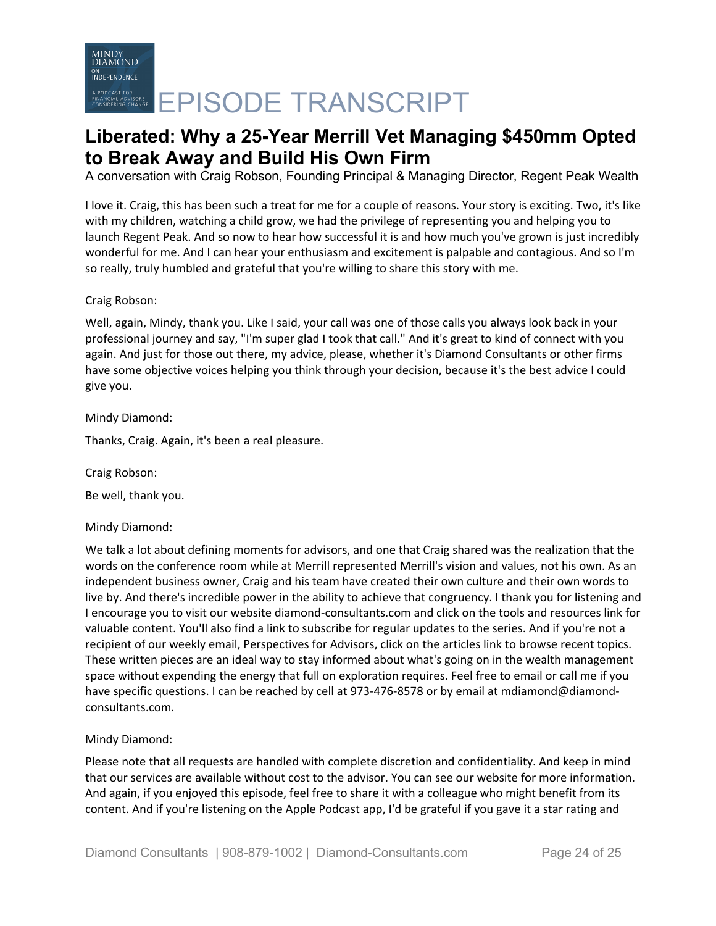A conversation with Craig Robson, Founding Principal & Managing Director, Regent Peak Wealth

I love it. Craig, this has been such a treat for me for a couple of reasons. Your story is exciting. Two, it's like with my children, watching a child grow, we had the privilege of representing you and helping you to launch Regent Peak. And so now to hear how successful it is and how much you've grown is just incredibly wonderful for me. And I can hear your enthusiasm and excitement is palpable and contagious. And so I'm so really, truly humbled and grateful that you're willing to share this story with me.

# Craig Robson:

Well, again, Mindy, thank you. Like I said, your call was one of those calls you always look back in your professional journey and say, "I'm super glad I took that call." And it's great to kind of connect with you again. And just for those out there, my advice, please, whether it's Diamond Consultants or other firms have some objective voices helping you think through your decision, because it's the best advice I could give you.

Mindy Diamond:

Thanks, Craig. Again, it's been a real pleasure.

Craig Robson:

Be well, thank you.

Mindy Diamond:

We talk a lot about defining moments for advisors, and one that Craig shared was the realization that the words on the conference room while at Merrill represented Merrill's vision and values, not his own. As an independent business owner, Craig and his team have created their own culture and their own words to live by. And there's incredible power in the ability to achieve that congruency. I thank you for listening and I encourage you to visit our website diamond-consultants.com and click on the tools and resources link for valuable content. You'll also find a link to subscribe for regular updates to the series. And if you're not a recipient of our weekly email, Perspectives for Advisors, click on the articles link to browse recent topics. These written pieces are an ideal way to stay informed about what's going on in the wealth management space without expending the energy that full on exploration requires. Feel free to email or call me if you have specific questions. I can be reached by cell at 973-476-8578 or by email at mdiamond@diamondconsultants.com.

# Mindy Diamond:

Please note that all requests are handled with complete discretion and confidentiality. And keep in mind that our services are available without cost to the advisor. You can see our website for more information. And again, if you enjoyed this episode, feel free to share it with a colleague who might benefit from its content. And if you're listening on the Apple Podcast app, I'd be grateful if you gave it a star rating and